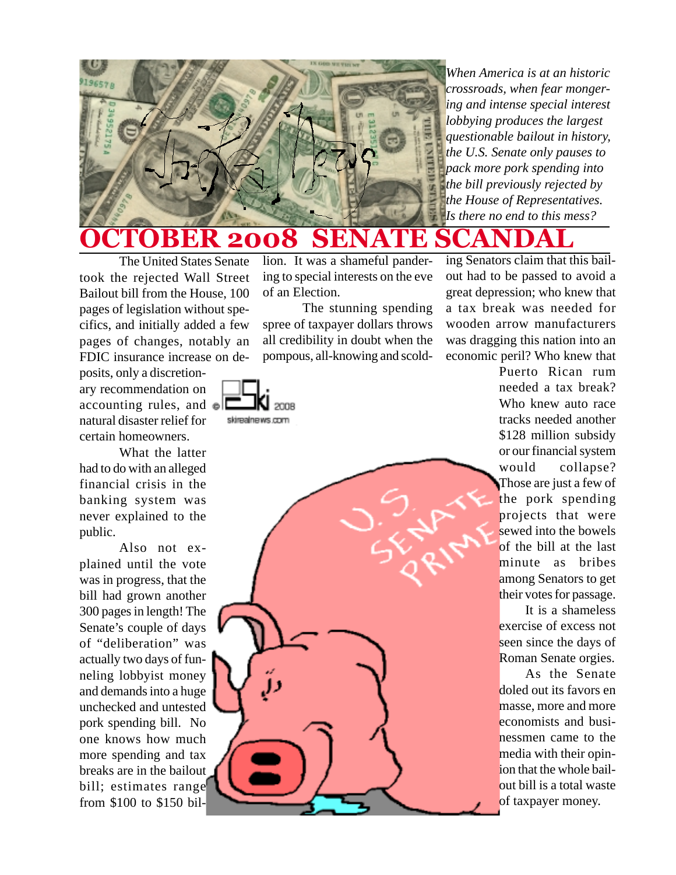

*When America is at an historic crossroads, when fear mongering and intense special interest lobbying produces the largest questionable bailout in history, the U.S. Senate only pauses to pack more pork spending into the bill previously rejected by the House of Representatives. Is there no end to this mess?*

**BER 2008 SEN** 

The United States Senate took the rejected Wall Street Bailout bill from the House, 100 pages of legislation without specifics, and initially added a few pages of changes, notably an FDIC insurance increase on de-

posits, only a discretionary recommendation on accounting rules, and  $\mathbf{E}$ natural disaster relief for certain homeowners.

What the latter had to do with an alleged financial crisis in the banking system was never explained to the public.

Also not explained until the vote was in progress, that the bill had grown another 300 pages in length! The Senate's couple of days of "deliberation" was actually two days of funneling lobbyist money and demands into a huge unchecked and untested pork spending bill. No one knows how much more spending and tax breaks are in the bailout bill; estimates range from \$100 to \$150 billion. It was a shameful pandering to special interests on the eve of an Election.

The stunning spending spree of taxpayer dollars throws all credibility in doubt when the pompous, all-knowing and scold-



ing Senators claim that this bailout had to be passed to avoid a great depression; who knew that a tax break was needed for wooden arrow manufacturers was dragging this nation into an economic peril? Who knew that

Puerto Rican rum needed a tax break? Who knew auto race tracks needed another \$128 million subsidy or our financial system would collapse? Those are just a few of the pork spending projects that were sewed into the bowels of the bill at the last minute as bribes among Senators to get their votes for passage.

It is a shameless exercise of excess not seen since the days of Roman Senate orgies.

As the Senate doled out its favors en masse, more and more economists and businessmen came to the media with their opinion that the whole bailout bill is a total waste of taxpayer money.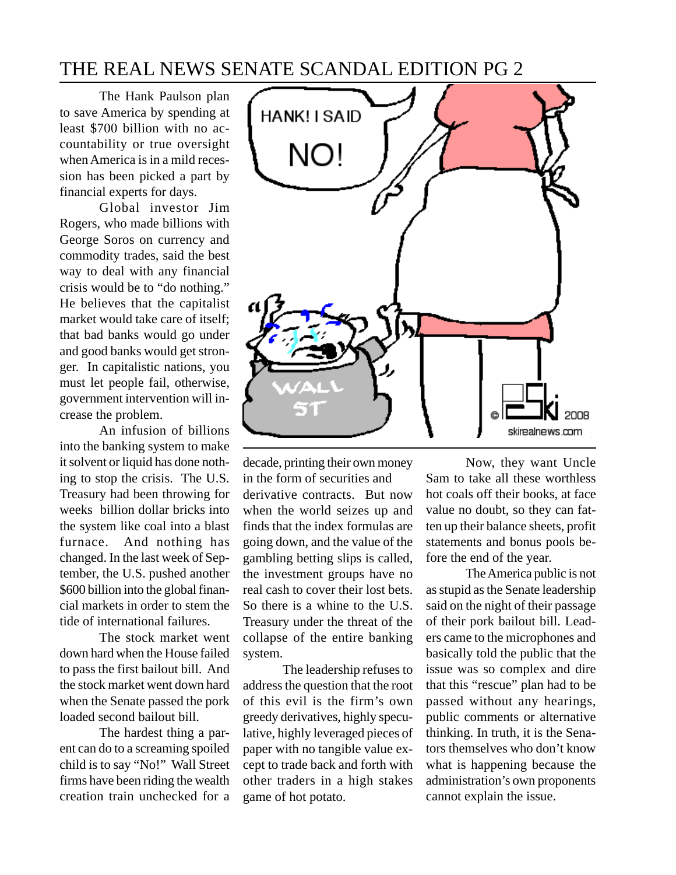## THE REAL NEWS SENATE SCANDAL EDITION PG 2

The Hank Paulson plan to save America by spending at least \$700 billion with no accountability or true oversight when America is in a mild recession has been picked a part by financial experts for days.

Global investor Jim Rogers, who made billions with George Soros on currency and commodity trades, said the best way to deal with any financial crisis would be to "do nothing." He believes that the capitalist market would take care of itself; that bad banks would go under and good banks would get stronger. In capitalistic nations, you must let people fail, otherwise, government intervention will increase the problem.

An infusion of billions into the banking system to make it solvent or liquid has done nothing to stop the crisis. The U.S. Treasury had been throwing for weeks billion dollar bricks into the system like coal into a blast furnace. And nothing has changed. In the last week of September, the U.S. pushed another \$600 billion into the global financial markets in order to stem the tide of international failures.

The stock market went down hard when the House failed to pass the first bailout bill. And the stock market went down hard when the Senate passed the pork loaded second bailout bill.

The hardest thing a parent can do to a screaming spoiled child is to say "No!" Wall Street firms have been riding the wealth creation train unchecked for a



decade, printing their own money in the form of securities and derivative contracts. But now when the world seizes up and finds that the index formulas are going down, and the value of the gambling betting slips is called, the investment groups have no real cash to cover their lost bets. So there is a whine to the U.S. Treasury under the threat of the collapse of the entire banking system.

The leadership refuses to address the question that the root of this evil is the firm's own greedy derivatives, highly speculative, highly leveraged pieces of paper with no tangible value except to trade back and forth with other traders in a high stakes game of hot potato.

Now, they want Uncle Sam to take all these worthless hot coals off their books, at face value no doubt, so they can fatten up their balance sheets, profit statements and bonus pools before the end of the year.

The America public is not as stupid as the Senate leadership said on the night of their passage of their pork bailout bill. Leaders came to the microphones and basically told the public that the issue was so complex and dire that this "rescue" plan had to be passed without any hearings, public comments or alternative thinking. In truth, it is the Senators themselves who don't know what is happening because the administration's own proponents cannot explain the issue.